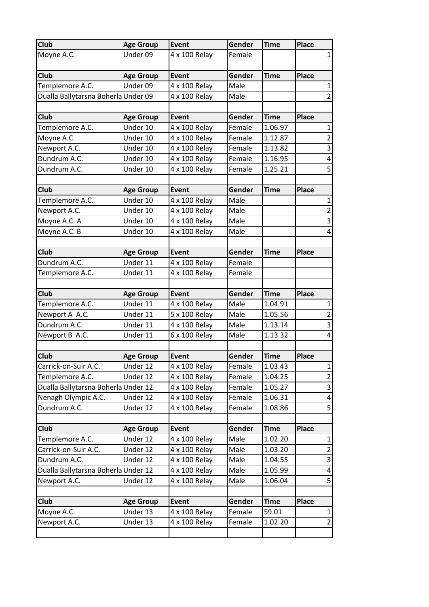| <b>Club</b>                         | <b>Age Group</b>     | <b>Event</b>                   | Gender           | <b>Time</b>      | <b>Place</b> |                         |
|-------------------------------------|----------------------|--------------------------------|------------------|------------------|--------------|-------------------------|
| Moyne A.C.                          | Under 09             | 4 x 100 Relay                  | Female           |                  |              | 1                       |
|                                     |                      |                                |                  |                  |              |                         |
| <b>Club</b>                         | <b>Age Group</b>     | Event                          | Gender           | <b>Time</b>      | <b>Place</b> |                         |
| Templemore A.C.                     | Under 09             | 4 x 100 Relay                  | Male             |                  |              | 1                       |
| Dualla Ballytarsna Boherla Under 09 |                      | 4 x 100 Relay                  | Male             |                  |              | 2                       |
|                                     |                      |                                |                  |                  |              |                         |
| Club                                | <b>Age Group</b>     | Event                          | Gender           | <b>Time</b>      | <b>Place</b> |                         |
| Templemore A.C.                     | Under 10             | 4 x 100 Relay                  | Female           | 1.06.97          |              | 1                       |
| Moyne A.C.                          | Under 10             | 4 x 100 Relay                  | Female           | 1.12.87          |              | $\overline{c}$          |
| Newport A.C.                        | Under 10             | 4 x 100 Relay                  | Female           | 1.13.82          |              | $\overline{\mathbf{3}}$ |
| Dundrum A.C.                        | Under 10             | 4 x 100 Relay                  | Female           | 1.16.95          |              | $\overline{\mathbf{4}}$ |
| Dundrum A.C.                        | Under 10             | 4 x 100 Relay                  | Female           | 1.25.21          |              | 5                       |
| Club                                | <b>Age Group</b>     | <b>Event</b>                   | Gender           | <b>Time</b>      | <b>Place</b> |                         |
| Templemore A.C.                     | Under 10             | 4 x 100 Relay                  | Male             |                  |              | 1                       |
| Newport A.C.                        | Under 10             | 4 x 100 Relay                  | Male             |                  |              | $\overline{2}$          |
| Moyne A.C. A                        | Under 10             | 4 x 100 Relay                  | Male             |                  |              | $\overline{3}$          |
| Moyne A.C. B                        | Under 10             | 4 x 100 Relay                  | Male             |                  |              | 4                       |
|                                     |                      |                                |                  |                  |              |                         |
| Club                                | <b>Age Group</b>     | Event                          | Gender           | <b>Time</b>      | <b>Place</b> |                         |
| Dundrum A.C.                        | Under 11             | 4 x 100 Relay                  | Female           |                  |              |                         |
| Templemore A.C.                     | Under 11             | 4 x 100 Relay                  | Female           |                  |              |                         |
|                                     |                      |                                |                  |                  |              |                         |
| Club                                | <b>Age Group</b>     | <b>Event</b>                   | Gender           | <b>Time</b>      | <b>Place</b> |                         |
| Templemore A.C.                     | Under 11             | 4 x 100 Relay                  | Male             | 1.04.91          |              | 1                       |
| Newport A A.C.                      | Under 11             | 5 x 100 Relay                  | Male             | 1.05.56          |              | $\overline{2}$          |
| Dundrum A.C.                        | Under 11             | 4 x 100 Relay                  | Male             | 1.13.14          |              | $\overline{3}$          |
| Newport B A.C.                      | Under 11             | 6 x 100 Relay                  | Male             | 1.13.32          |              | 4                       |
|                                     |                      |                                |                  |                  |              |                         |
| Club                                | <b>Age Group</b>     | <b>Event</b>                   | Gender           | <b>Time</b>      | <b>Place</b> |                         |
| Carrick-on-Suir A.C.                | Under 12             | 4 x 100 Relay                  | Female           | 1.03.43          |              | $\mathbf{1}$            |
| Templemore A.C.                     | Under 12             | 4 x 100 Relay                  | Female           | 1.04.25          |              | $\overline{2}$          |
| Dualla Ballytarsna Boherla Under 12 |                      | 4 x 100 Relay                  | Female           | 1.05.27          |              | 3                       |
| Nenagh Olympic A.C.                 | Under 12             | 4 x 100 Relay                  | Female           | 1.06.31          |              | 4                       |
| Dundrum A.C.                        | Under 12             | 4 x 100 Relay                  | Female           | 1.08.86          |              | 5                       |
|                                     |                      |                                |                  |                  |              |                         |
| Club                                | <b>Age Group</b>     | <b>Event</b>                   | Gender           | <b>Time</b>      | <b>Place</b> |                         |
| Templemore A.C.                     | Under 12             | 4 x 100 Relay                  | Male             | 1.02.20          |              | 1                       |
| Carrick-on-Suir A.C.                | Under 12             | 4 x 100 Relay                  | Male             | 1.03.20          |              | $\overline{c}$          |
| Dundrum A.C.                        | Under 12             | 4 x 100 Relay                  | Male             | 1.04.55          |              | 3                       |
| Dualla Ballytarsna Boherla Under 12 |                      | 4 x 100 Relay                  | Male             | 1.05.99          |              | 4                       |
|                                     |                      |                                |                  |                  |              |                         |
| Newport A.C.                        | Under 12             | 4 x 100 Relay                  | Male             | 1.06.04          |              | 5                       |
|                                     |                      |                                |                  |                  |              |                         |
| Club                                | <b>Age Group</b>     | <b>Event</b>                   | Gender           | <b>Time</b>      | <b>Place</b> |                         |
| Moyne A.C.<br>Newport A.C.          | Under 13<br>Under 13 | 4 x 100 Relay<br>4 x 100 Relay | Female<br>Female | 59.01<br>1.02.20 |              | 1<br>$\overline{2}$     |